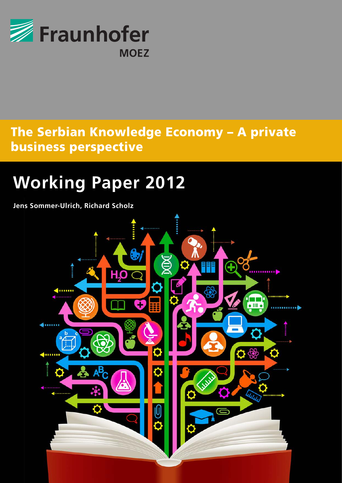

# business perspective and the control of the set of the control of the control of the control of the control of The Serbian Knowledge Economy – A private

## Photovoltaic Energy Market **Working Paper 2012**

**Jens Sommer-Ulrich, Richard Scholz**

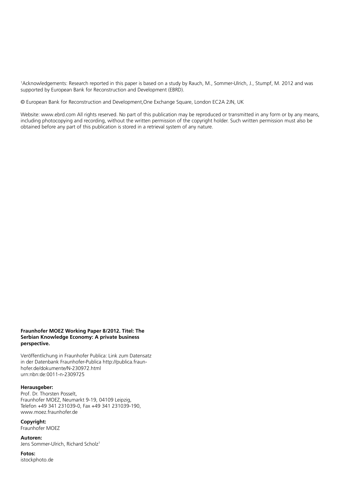1 Acknowledgements: Research reported in this paper is based on a study by Rauch, M., Sommer-Ulrich, J., Stumpf, M. 2012 and was supported by European Bank for Reconstruction and Development (EBRD).

© European Bank for Reconstruction and Development,One Exchange Square, London EC2A 2JN, UK

Website: www.ebrd.com All rights reserved. No part of this publication may be reproduced or transmitted in any form or by any means. including photocopying and recording, without the written permission of the copyright holder. Such written permission must also be obtained before any part of this publication is stored in a retrieval system of any nature.

#### **Fraunhofer MOEZ Working Paper 8/2012. Titel: The Serbian Knowledge Economy: A private business perspective.**

Veröffentlichung in Fraunhofer Publica: Link zum Datensatz in der Datenbank Fraunhofer-Publica http://publica.fraunhofer.de/dokumente/N-230972.html urn:nbn:de:0011-n-2309725

## **Herausgeber:**

Prof. Dr. Thorsten Posselt, Fraunhofer MOEZ, Neumarkt 9-19, 04109 Leipzig, Telefon +49 341 231039-0, Fax +49 341 231039-190, www.moez.fraunhofer.de

#### **Copyright:**

Fraunhofer MOEZ

**Autoren:** Jens Sommer-Ulrich, Richard Scholz<sup>1</sup>

## **Fotos:**

istockphoto.de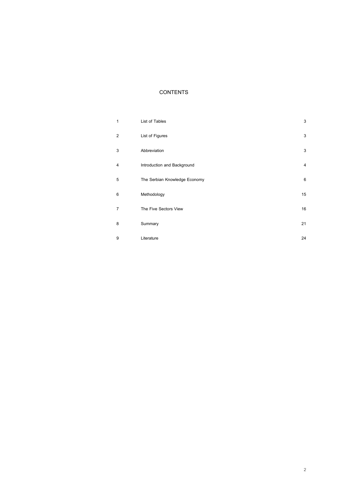## **CONTENTS**

| 1 | List of Tables                | $\sqrt{3}$     |
|---|-------------------------------|----------------|
| 2 | List of Figures               | 3              |
| 3 | Abbreviation                  | $\sqrt{3}$     |
| 4 | Introduction and Background   | $\overline{4}$ |
| 5 | The Serbian Knowledge Economy | $\,6\,$        |
| 6 | Methodology                   | 15             |
| 7 | The Five Sectors View         | 16             |
| 8 | Summary                       | 21             |
| 9 | Literature                    | 24             |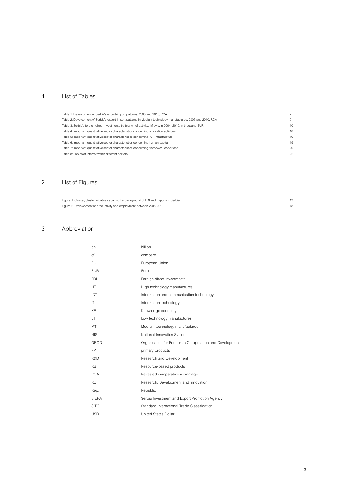## <span id="page-3-0"></span>1 List of Tables

## <span id="page-3-1"></span>2 List of Figures

| Figure 1: Cluster, cluster initiatives against the background of FDI and Exports in Serbia |  |
|--------------------------------------------------------------------------------------------|--|
| Figure 2: Development of productivity and employment between 2005-2010                     |  |

## <span id="page-3-2"></span>3 Abbreviation

| bn.          | billion                                                |
|--------------|--------------------------------------------------------|
| cf.          | compare                                                |
| EU           | European Union                                         |
| <b>EUR</b>   | Furo                                                   |
| <b>FDI</b>   | Foreign direct investments                             |
| HT           | High technology manufactures                           |
| ICT          | Information and communication technology               |
| IT           | Information technology                                 |
| KE           | Knowledge economy                                      |
| LT           | Low technology manufactures                            |
| MT           | Medium technology manufactures                         |
| <b>NIS</b>   | National Innovation System                             |
| OECD         | Organisation for Economic Co-operation and Development |
| PP           | primary products                                       |
| R&D          | Research and Development                               |
| <b>RB</b>    | Resource-based products                                |
| <b>RCA</b>   | Revealed comparative advantage                         |
| <b>RDI</b>   | Research, Development and Innovation                   |
| Rep.         | Republic                                               |
| <b>SIEPA</b> | Serbia Investment and Export Promotion Agency          |
| <b>SITC</b>  | Standard International Trade Classification            |
| <b>USD</b>   | <b>United States Dollar</b>                            |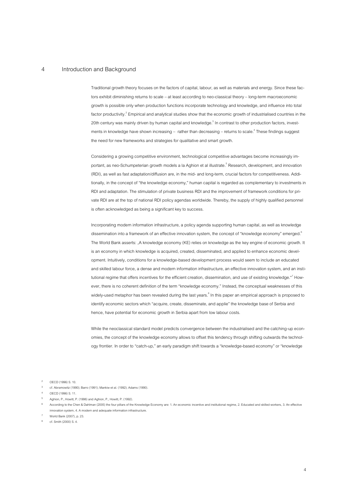### <span id="page-4-0"></span>4 Introduction and Background

Traditional growth theory focuses on the factors of capital, labour, as well as materials and energy. Since these factors exhibit diminishing returns to scale – at least according to neo-classical theory – long-term macroeconomic growth is possible only when production functions incorporate technology and knowledge, and influence into total factor productivity.<sup>2</sup> Empirical and analytical studies show that the economic growth of industrialised countries in the 20th century was mainly driven by human capital and knowledge. $^3$  In contrast to other production factors, investments in knowledge have shown increasing – rather than decreasing – returns to scale. $^4$  These findings suggest the need for new frameworks and strategies for qualitative and smart growth.

Considering a growing competitive environment, technological competitive advantages become increasingly important, as neo-Schumpeterian growth models a la Aghion et al illustrate.<sup>5</sup> Research, development, and innovation (RDI), as well as fast adaptation/diffusion are, in the mid- and long-term, crucial factors for competitiveness. Additionally, in the concept of "the knowledge economy," human capital is regarded as complementary to investments in RDI and adaptation. The stimulation of private business RDI and the improvement of framework conditions for private RDI are at the top of national RDI policy agendas worldwide. Thereby, the supply of highly qualified personnel is often acknowledged as being a significant key to success.

Incorporating modern information infrastructure, a policy agenda supporting human capital, as well as knowledge dissemination into a framework of an effective innovation system, the concept of "knowledge economy" emerged.<sup>6</sup> The World Bank asserts: "A knowledge economy (KE) relies on knowledge as the key engine of economic growth. It is an economy in which knowledge is acquired, created, disseminated, and applied to enhance economic development. Intuitively, conditions for a knowledge-based development process would seem to include an educated and skilled labour force, a dense and modern information infrastructure, an effective innovation system, and an institutional regime that offers incentives for the efficient creation, dissemination, and use of existing knowledge."<sup>7</sup> However, there is no coherent definition of the term "knowledge economy." Instead, the conceptual weaknesses of this widely-used metaphor has been revealed during the last years. $^8$  In this paper an empirical approach is proposed to identify economic sectors which "acquire, create, disseminate, and applie" the knowledge base of Serbia and hence, have potential for economic growth in Serbia apart from low labour costs.

While the neoclassical standard model predicts convergence between the industrialised and the catching-up economies, the concept of the knowledge economy allows to offset this tendency through shifting outwards the technology frontier. In order to "catch-up,"an early paradigm shift towards a "knowledge-based economy" or "knowledge

- 3 cf. Abramowitz (1990); Barro (1991); Mankiw et al. (1992); Adams (1990).
- 4 OECD (1996) S. 11.
- 5 Aghion, P., Howitt, P. (1998) and Aghion, P., Howitt, P. (1992).
- 6 According tothe Chen & Dahlman (2005) the four pillars of the Knowledge Economy are: 1. An economic incentive and institutional regime, 2. Educated and skilled workers, 3. An effective innovation system, 4. A modern and adequate information infrastructure.

7 World Bank (2007), p. 23.

8 cf. Smith (2000) S. 4.

OECD (1996) S. 10.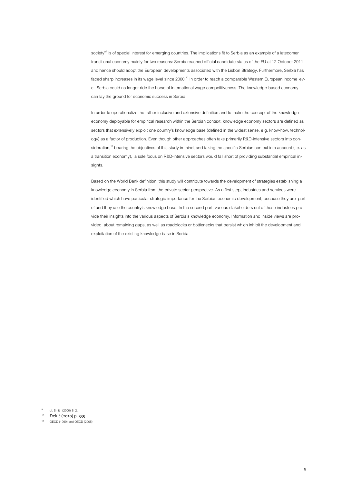society"<sup>9</sup> is of special interest for emerging countries. The implications fit to Serbia as an example of a latecomer transitional economy mainly for two reasons: Serbia reached official candidate status of the EU at 12 October 2011 and hence should adopt the European developments associated with the Lisbon Strategy. Furthermore, Serbia has faced sharp increases in its wage level since 2000.<sup>10</sup> In order to reach a comparable Western European income level, Serbia could no longer ride the horse of international wage competitiveness. The knowledge-based economy can lay the ground for economic success in Serbia.

In order to operationalize the rather inclusive and extensive definition and to make the concept of the knowledge economy deployable for empirical research within the Serbian context, knowledge economy sectors are defined as sectors that extensively exploit one country's knowledge base (defined in the widest sense, e.g. know-how, technology) as a factor of production. Even though other approaches often take primarily R&D-intensive sectors into consideration,<sup>11</sup> bearing the objectives of this study in mind, and taking the specific Serbian context into account (i.e. as a transition economy), a sole focus on R&D-intensive sectors would fall short of providing substantial empirical insights.

Based on the World Bank definition, this study will contribute towards the development of strategies establishing a knowledge economy in Serbia from the private sector perspective. As a first step, industries and services were identified which have particular strategic importance for the Serbian economic development, because they are part of and they use the country's knowledge base. In the second part, various stakeholders out of these industries provide their insights into the various aspects of Serbia's knowledge economy. Information and inside views are provided about remaining gaps, as well as roadblocks or bottlenecks that persist which inhibit the development and exploitation of the existing knowledge base in Serbia.

9 cf. Smith (2000) S. 2.

<sup>10</sup> Đekić (2010) p. 335.

<sup>11</sup> OECD (1999) and OECD (2005).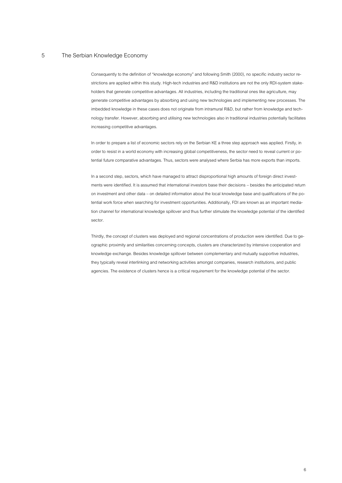## <span id="page-6-0"></span>5 The Serbian Knowledge Economy

Consequently to the definition of "knowledge economy" and following Smith (2000), no specific industry sector restrictions are applied within this study. High-tech industries and R&D institutions are not the only RDI-system stakeholders that generate competitive advantages. All industries, including the traditional ones like agriculture, may generate competitive advantages by absorbing and using new technologies and implementing new processes. The imbedded knowledge in these cases does not originate from intramural R&D, but rather from knowledge and technology transfer. However, absorbing and utilising new technologies also in traditional industries potentially facilitates increasing competitive advantages.

In order to prepare a list of economic sectors rely on the Serbian KE a three step approach was applied. Firstly, in order to resist in a world economy with increasing global competitiveness, the sector need to reveal current or potential future comparative advantages. Thus, sectors were analysed where Serbia has more exports than imports.

In a second step, sectors, which have managed to attract disproportional high amounts of foreign direct investments were identified. It is assumed that international investors base their decisions – besides the anticipated return on investment and other data – on detailed information about the local knowledge base and qualifications of the potential work force when searching for investment opportunities. Additionally, FDI are known as an important mediation channel for international knowledge spillover and thus further stimulate the knowledge potential of the identified sector.

Thirdly, the concept of clusters was deployed and regional concentrations of production were identified. Due to geographic proximity and similarities concerning concepts, clusters are characterized by intensive cooperation and knowledge exchange. Besides knowledge spillover between complementary and mutually supportive industries, they typically reveal interlinking and networking activities amongst companies, research institutions, and public agencies. The existence of clusters hence is a critical requirement for the knowledge potential of the sector.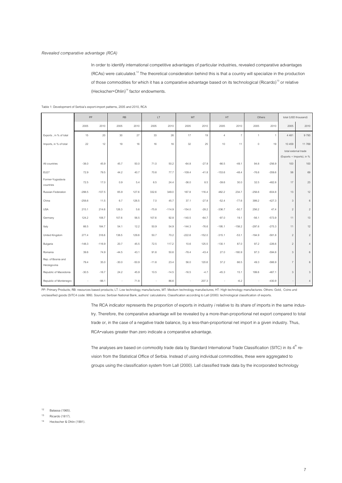In order to identify international competitive advantages of particular industries, revealed comparative advantages (RCAs) were calculated.<sup>12</sup> The theoretical consideration behind this is that a country will specialize in the production of those commodities for which it has a comparative advantage based on its technological (Ricardo)<sup>13</sup> or relative (Heckscher-Ohlin)<sup>14</sup> factor endowments.

|                                   | PP       |          | RB      |         | LT      |          | MT       |          | HT             |                | Others              |                |                | total (USD thousand)      |
|-----------------------------------|----------|----------|---------|---------|---------|----------|----------|----------|----------------|----------------|---------------------|----------------|----------------|---------------------------|
|                                   | 2005     | 2010     | 2005    | 2010    | 2005    | 2010     | 2005     | 2010     | 2005           | 2010           | 2005                | 2010           | 2005           | 2010                      |
| Exports, in % of total            | 15       | 20       | 30      | 27      | 33      | 26       | 17       | 19       | $\overline{4}$ | $\overline{7}$ | $\mathbf{1}$        | $\overline{1}$ | 4 4 8 1        | 9793                      |
| Imports, in % of total            | 22       | 12       | 19      | 16      | 16      | 16       | 32       | 25       | 10             | 11             | $\mathsf{O}\xspace$ | 19             | 10 459         | 11769                     |
|                                   |          |          |         |         |         |          |          |          |                |                |                     |                |                | total external trade      |
|                                   |          |          |         |         |         |          |          |          |                |                |                     |                |                | (Exports + Imports), in % |
| All countries                     | $-38.0$  | 45.9     | 45.7    | 50.0    | 71.0    | 50.2     | $-64.8$  | $-27.9$  | $-86.5$        | $-49.1$        | 94.8                | $-256.9$       | 100            | 100                       |
| <b>EU27</b>                       | 72.9     | 79.5     | 44.2    | 40.7    | 70.6    | 77.7     | $-109.4$ | $-41.8$  | $-153.6$       | $-48.4$        | $-76.6$             | $-359.6$       | 56             | 69                        |
| Former-Yugoslavia<br>countries    | 72.5     | 17.0     | 0.9     | 5.4     | 6.5     | 24.4     | $-36.0$  | 8.5      | $-39.6$        | 30.0           | 32.5                | $-482.8$       | 17             | 23                        |
| Russian Federation                | $-298.5$ | $-107.5$ | 65.9    | 127.6   | 332.6   | 349.0    | 167.8    | 116.4    | 482.2          | 234.7          | $-258.6$            | $-604.8$       | 13             | 12                        |
| China                             | $-258.6$ | 11.5     | 6.7     | 126.5   | 7.0     | 45.7     | 37.1     | $-27.8$  | $-52.4$        | $-77.6$        | 399.2               | $-427.3$       | 3              | $\,6\,$                   |
| <b>USA</b>                        | 215.1    | 214.6    | 126.3   | 5.6     | $-75.8$ | $-114.9$ | $-154.0$ | $-28.2$  | $-336.7$       | $-50.7$        | 256.2               | 47.4           | $\sqrt{2}$     | $\sqrt{2}$                |
| Germany                           | 124.2    | 108.7    | 107.6   | 56.5    | 107.6   | 92.8     | $-140.5$ | $-64.7$  | $-97.0$        | 19.1           | $-56.1$             | $-573.9$       | 11             | 13                        |
| Italy                             | 66.5     | 184.7    | 54.1    | 12.2    | 50.9    | 54.9     | $-144.3$ | $-76.6$  | $-195.1$       | $-158.2$       | $-297.6$            | $-275.3$       | 11             | 12                        |
| United Kingdom                    | 277.4    | 316.6    | 138.5   | 129.8   | 50.7    | 70.2     | $-222.6$ | $-152.0$ | $-315.1$       | $-53.1$        | $-184.9$            | $-581.8$       | $\overline{2}$ | $\sqrt{2}$                |
| Bulgaria                          | $-148.3$ | $-116.9$ | 20.7    | 45.5    | 72.5    | 117.2    | 10.6     | 125.5    | $-130.1$       | 87.0           | 97.2                | $-226.6$       | $\overline{2}$ | $\sqrt{4}$                |
| Romania                           | 39.6     | 74.9     | $-44.5$ | 43.1    | 91.6    | 50.6     | $-78.4$  | $-43.4$  | 27.0           | $-160.9$       | 97.3                | $-594.8$       | $\overline{3}$ | $\,6$                     |
| Rep. of Bosnia and<br>Herzegovina | 79.4     | 35.0     | $-30.0$ | $-50.9$ | $-11.6$ | 23.4     | 56.0     | 120.6    | 37.2           | 66.5           | 49.3                | $-566.9$       | $\overline{7}$ | $\,8\,$                   |
| Republic of Macedonia             | $-30.5$  | $-16.7$  | 24.2    | 45.9    | 10.5    | $-14.5$  | $-16.5$  | $-4.7$   | $-45.3$        | 15.1           | 199.8               | $-467.1$       | $\overline{3}$ | $\mathbf{3}$              |
| Republic of Montenegro            | ÷.       | $-98.1$  | ×.      | 71.8    |         | 86.6     |          | 207.3    | ÷.             | $-6.2$         |                     | $-430.9$       |                | $\sqrt{4}$                |

<span id="page-7-0"></span>Table 1: Development of Serbia's export-import patterns, 2005 and 2010, RCA

PP: Primary Products; RB: resources based products; LT: Low technology manufactures, MT: Medium technology manufactures; HT: High technology manufactures. Others: Gold, Coins und unclassified goods (SITC4 code: 999). Sources: Serbian National Bank, authors' calculations. Classification according to Lall (2000): technological classification of exports.

> The RCA indicator represents the proportion of exports in industry *i* relative to its share of imports in the same industry. Therefore, the comparative advantage will be revealed by a more-than-proportional net export compared to total trade or, in the case of a negative trade balance, by a less-than-proportional net import in a given industry. Thus, RCA-values greater than zero indicate a comparative advantage.

The analyses are based on commodity trade data by Standard International Trade Classification (SITC) in its 4 $^{\rm th}$  revision from the Statistical Office of Serbia. Instead of using individual commodities, these were aggregated to groups using the classification system from Lall (2000). Lall classified trade data by the incorporated technology

12 Balassa (1965).

13 Ricardo (1817).

14 Heckscher & Ohlin(1991).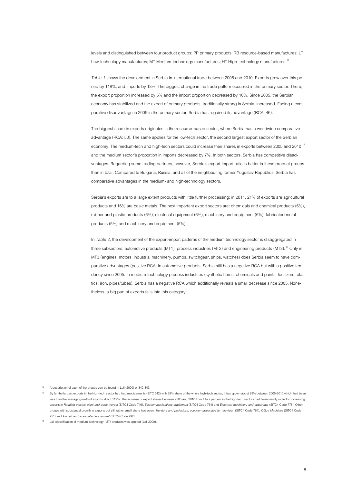levels and distinguished between four product groups: PP primary products; RB resource-based manufactures; LT Low-technology manufactures; MT Medium-technology manufactures; HT High-technology manufactures.<sup>15</sup>

*[Table 1](#page-7-0)* shows the development in Serbia in international trade between 2005 and 2010. Exports grew over this period by 118%, and imports by 13%. The biggest change in the trade pattern occurred in the primary sector. There, the export proportion increased by 5% and the import proportion decreased by 10%. Since 2005, the Serbian economy has stabilized and the export of primary products, traditionally strong in Serbia, increased. Facing a comparative disadvantage in 2005 in the primary sector, Serbia has regained its advantage (RCA: 46).

The biggest share in exports originates in the resource-based sector, where Serbia has a worldwide comparative advantage (RCA: 50). The same applies for the low-tech sector, the second largest export sector of the Serbian economy. The medium-tech and high-tech sectors could increase their shares in exports between 2005 and 2010,<sup>16</sup> and the medium sector's proportion in imports decreased by 7%. In both sectors, Serbia has competitive disadvantages. Regarding some trading partners, however, Serbia's export-import ratio is better in these product groups than in total. Compared to Bulgaria, Russia, and all of the neighbouring former Yugoslav Republics, Serbia has comparative advantages in the medium- and high-technology sectors.

Serbia's exports are to a large extent products with little further processing: in 2011, 21% of exports are agricultural products and 16% are basic metals. The next important export sectors are: chemicals and chemical products (6%), rubber and plastic products (6%), electrical equipment (6%), machinery and equipment (6%), fabricated metal products (5%) and machinery and equipment (5%).

In *[Table 2](#page-9-0)*, the development of the export-import patterns of the medium technology sector is disaggregated in three subsectors: automotive products (MT1), process industries (MT2) and engineering products (MT3).<sup>17</sup> Only in MT3 (engines, motors, industrial machinery, pumps, switchgear, ships, watches) does Serbia seem to have comparative advantages (positive RCA. In automotive products, Serbia still has a negative RCA but with a positive tendency since 2005. In medium-technology process industries (synthetic fibres, chemicals and paints, fertilizers, plastics, iron, pipes/tubes), Serbia has a negative RCA which additionally reveals a small decrease since 2005. Nonetheless, a big part of exports falls into this category.

15 A description of each of the groups can be found in Lall (2000) p. 342-343.

<sup>16</sup> By far the largest exports in the high-tech sector had had medicaments (SITC 542) with 29% share of the whole high-tech sector, it had grown about 93% between 2005-2010 which had been less than the average growth of exports about 119%. The increase of export shares between 2005 and 2010 from 4 to 7 percent in the high-tech sectors had been mainly rooted to increasing exports in *Rotating electric plant and parts thereof* (SITC4 Code 716), *Telecommunications equipment* (SITC4 Code 764) and *Electrical machinery and apparatus* (SITC4 Code 778). Other groups with substantial growth in exports but still rather small share had been: *Monitors and projectors,reception apparatus for television* (SITC4 Code 761), *Office Machines* (SITC4 Code 751) and *Aircraft and associated equipment* (SITC4 Code 792).

<sup>17</sup> Lall-classification of medium-technology (MT) products was applied (Lall 2000).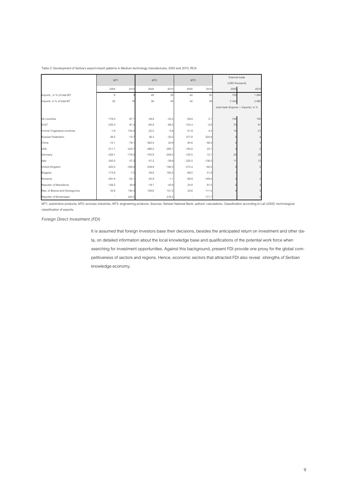|                                |          | MT <sub>1</sub> |          | MT <sub>2</sub> |          | MT3      | External trade<br>(USD thousand) |                                       |  |
|--------------------------------|----------|-----------------|----------|-----------------|----------|----------|----------------------------------|---------------------------------------|--|
|                                | 2005     | 2010            | 2005     | 2010            | 2005     | 2010     | 2005                             | 2010                                  |  |
| Exports, in % of total MT      | 6        |                 | 49       | 39              | 44       | 52       | 750                              | 1864                                  |  |
| Imports, in % of total MT      | 20       | 16              | 38       | 45              | 42       | 39       | 3 3 4 4                          | 2962                                  |  |
|                                |          |                 |          |                 |          |          |                                  | total trade (Exports + Imports), in % |  |
| All countries                  | $-178.0$ | $-87.1$         | $-39.8$  | $-43.2$         | $-58.8$  | 2.1      | 100                              | 100                                   |  |
| <b>EU27</b>                    | $-235.4$ | $-91.4$         | $-65.8$  | $-69.2$         | $-124.4$ | $-2.6$   | 70                               | 81                                    |  |
| Former-Yugoslavia countries    | $-1.9$   | 154.0           | $-22.5$  | $-5.8$          | $-51.9$  | 4.3      | 14                               | 21                                    |  |
| Russian Federation             | 26.5     | $-10.7$         | 36.3     | $-30.0$         | 377.9    | 324.8    |                                  |                                       |  |
| China                          | $-12.1$  | $-78.1$         | $-383.0$ | 20.9            | 64.8     | $-58.4$  |                                  |                                       |  |
| <b>USA</b>                     | $-211.1$ | $-224.7$        | $-486.0$ | $-284.1$        | $-100.8$ | 22.1     |                                  | 2                                     |  |
| Germany                        | $-226.1$ | $-176.2$        | $-105.8$ | $-208.3$        | $-125.5$ | 12.1     | 20                               | 20                                    |  |
| Italy                          | $-240.0$ | $-37.2$         | $-57.2$  | $-39.8$         | $-220.0$ | $-138.3$ | 11                               | 12                                    |  |
| <b>United Kingdom</b>          | $-220.5$ | $-338.0$        | $-239.8$ | $-190.3$        | $-213.4$ | $-92.0$  |                                  |                                       |  |
| Bulgaria                       | $-173.6$ | $-7.5$          | 58.6     | 162.0           | $-89.0$  | 51.9     |                                  |                                       |  |
| Romania                        | $-291.6$ | $-25.1$         | $-25.9$  | $-1.1$          | $-88.9$  | $-169.4$ |                                  |                                       |  |
| Republic of Macedonia          | $-106.2$ | 48.9            | $-19.1$  | $-40.9$         | 24.8     | 91.5     |                                  |                                       |  |
| Rep. of Bosnia and Herzegovina | 43.8     | 194.3           | 108.6    | 121.0           | 20.6     | 111.4    |                                  |                                       |  |
| Republic of Montenegro         | ٠        | 424.5           |          | 218.4           |          | 171.7    |                                  |                                       |  |

<span id="page-9-0"></span>Table 2: Development of Serbia's export-import patterns in Medium technology manufactures, 2005 and 2010, RCA

MT1: automotive products, MT2: process industries, MT3: engineering products. Sources: Serbian National Bank, authors' calculations. Classification according to Lall (2000): technological classification of exports.

*Foreign Direct Investment (FDI)* 

It is assumed that foreign investors base their decisions, besides the anticipated return on investment and other data, on detailed information about the local knowledge base and qualifications of the potential work force when searching for investment opportunities. Against this background, present FDI provide one proxy for the global competitiveness of sectors and regions. Hence, economic sectors that attracted FDI also reveal strengths of Serbian knowledge economy.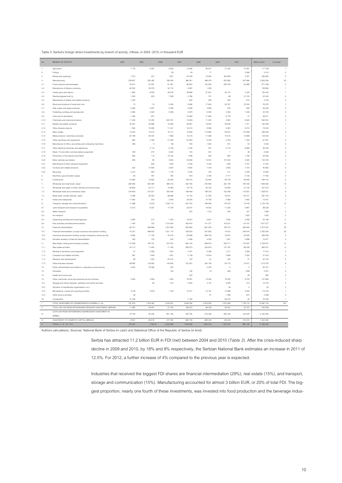<span id="page-10-0"></span>

| Table 3: Serbia's foreign direct investments by branch of activity, inflows, in 2004 -2010, in thousand EUR |  |
|-------------------------------------------------------------------------------------------------------------|--|
|-------------------------------------------------------------------------------------------------------------|--|

| No.            | BRANCH OF ACTIVITY                                                         | 2004              | 2005              | 2006              | 2007               | 2008               | 2009               | 2010              | 2004 to 2010        | % of total               |
|----------------|----------------------------------------------------------------------------|-------------------|-------------------|-------------------|--------------------|--------------------|--------------------|-------------------|---------------------|--------------------------|
| 1.             | Agriculture                                                                | 7716              | 9 3 5 7           | 9 3 0 6           | 15 08 6            | 38 227             | 21 025             | 10 991            | 111 708             | $\mathbf{1}$             |
| $\overline{2}$ | Fishing                                                                    |                   |                   | 29                | 40                 | 77                 |                    | 5 0 6 8           | 5 2 1 4             | $\,0\,$                  |
| 3.             | Mining and quarrying                                                       | 1815              | 247               | 1.901             | 24 228             | 19.564             | 404.926            | 4.201             | 456 882             | $\overline{3}$           |
| $\overline{4}$ | Manufacturing                                                              | 239 857<br>78 241 | 250 483<br>52 307 | 789 329<br>61 381 | 366 341<br>96 800  | 388 478<br>100 362 | 532 890<br>228 790 | 337 884<br>53 888 | 2 905 262<br>671769 | $20\,$<br>$\overline{5}$ |
| 4.1<br>4.2     | Food products and beverages<br>Manufacture of tobacco products             | 62 022            | 35 078            | 34 714            | 6 8 9 1            | 1 2 5 9            |                    |                   | 139 964             |                          |
| 4.3            | Textile vams and fabrics                                                   | 1600              | 8652              | 26 078            | 48 998             | 37 627             | 28 131             | 4 3 3 4           | 155 420             |                          |
| 4.4            | Wearing apparel and fur                                                    | 1 0 2 0           | 833               | 7849              | 4786               | 741                | 89                 | 10 124            | 25.442              | $\Omega$                 |
| 4.5            | Manufacture of leather and leather products                                | 1 3 2 4           |                   |                   | 652                | 228                | 200                | 915               | 3 3 1 9             |                          |
| 4.6            | Wood and products of wood and cork                                         | 12                | 74                | 5.450             | 8.984              | 17844              | 28.161             | 16.045            | 76,570              |                          |
| 4.7            | Pulp, paper and paper products                                             | 2466              | 5 8 3 7           | 5 3 2 9           | 6938               | 4895               | 304                | 280               | 26 049              |                          |
| 4.8            | Publishing, printing and reproduction                                      | 2 5 6 6           | 4 5 5 0           | 5 0 9 8           | 5879               | 6 0 9 0            | 3 3 3 6            | 7 2 2 9           | 34 748              | $\Omega$                 |
| 4.9            | Coke and oil derivatives<br>Chemicals and chemical products                | 1 0 46<br>11 540  | 651<br>15 4 5 5   | 525 781           | 18 3 8 0<br>15 929 | 11 685<br>11 255   | 6778<br>4667       | 31<br>9924        | 38 571<br>594 551   |                          |
| 4.10<br>4.11   | Rubber and plastic products                                                | 32 30 7           | 20 995            | 16 28 5           | 28 967             | 19 653             | 36 830             | 7 3 1 1           | 162 348             |                          |
| 4.12           | Other mineral products                                                     | 1 0 2 6           | 19 008            | 11547             | 18 215             | 8955               | 5 5 6 7            | 9 2 1 5           | 73 533              |                          |
| 4.13           | Basic metals                                                               | 13 002            | 15614             | 18777             | 10 066             | 114 996            | 59 027             | 175 068           | 406 550             |                          |
| 4.14           | Metal products, machinery excluded                                         | 24 789            | 46 491            | 7668              | 12 218             | 17 288             | 10 610             | 13 988            | 133 052             |                          |
| 4.15           | Other machinery and equipment                                              | 890               | 2.766             | 21 30 6           | 24.360             | 6 3 3 0            | 4.576              | 7.033             | 67.261              |                          |
| 4.16           | Manufacture of office, accounting and computing machinery                  | 269               | 8                 | 86                | 780                | 1604               | 401                | 54                | 3 2 0 2             |                          |
| 4.17           | Other electrical machines and appliances                                   |                   | 4 1 1 4           | 6 1 4 9           | 7434               | 451                | 9 1 1 8            | 8969              | 36 235              | $\theta$                 |
| 4.18           | Radio, TV and other communications equipment                               | 199               | 274               | 5 2 2 2           | 100                | 431                | $\overline{1}$     | 36                | 6 2 6 3             |                          |
| 4.19           | Production of fine optical instruments                                     | 832               | 115               | 19 10 5           | 1 0 9 9            | 292                | 684                | 1 1 6 8           | 23 295              |                          |
| 4.20           | Motor vehicles and trailers                                                | 209               | 85                | 4803              | 30 068             | 13 915             | 101 045            | 3635              | 153 760             |                          |
| 4.21<br>4.22   | Manufacture of other transport equipment<br>Furniture and related products | 222               | 648<br>15.945     | 1640<br>3.287     | 4 5 3 0<br>9.644   | 4 3 0 3<br>7519    | 1 256<br>2.905     | 5 1 5 7<br>1.470  | 17534<br>40.992     | $\triangle$              |
| 4.23           | Recycling                                                                  | 4 2 7 4           | 983               | 1776              | 4 6 2 5            | 755                | 417                | 2009              | 14 8 39             |                          |
| 5.             | Electricity, gas and water supply                                          | 56                | 497               | 785               | 919                | 2 3 4 6            | 4717               | 8 1 3 5           | 17455               | $\theta$                 |
| 6.             | Construction                                                               | 14 695            | 10852             | 25 5 25           | 130 574            | 55 584             | 28 105             | 29 080            | 294 415             | $\mathfrak{p}$           |
| $\overline{7}$ | Wholesale and retail trade, repair                                         | 282 885           | 292 394           | 369 212           | 200 785            | 275 946            | 222 194            | 193 509           | 1 836 925           | 13                       |
| 7.1            | Wholesale and repair of motor vehicles and motorcycles                     | 58 663            | 44 771            | 19 4 66           | 18 17 6            | 45 163             | 24 684             | 10 150            | 221 073             | $\overline{2}$           |
| 7.2            | Wholesale trade and commission trade                                       | 218 626           | 219 321           | 250 048           | 168 469            | 199 378            | 153 308            | 119 281           | 1 328 431           |                          |
| 7.3            | Retail trade, except vehicles; repair                                      | 5 5 9 6           | 28 30 2           | 99 698            | 14 140             | 31 405             | 44.201             | 64 077            | 287 419             | $\mathcal{L}$            |
| 8.             | Hotels and restaurants                                                     | 11 663            | 203               | 3 2 4 6           | 35 055             | 15 7 29            | 4 9 9 3            | 2462              | 73 351              |                          |
| 9.             | Transport, storage and communications                                      | 11898             | 9576              | 1 2 3 2 7 1 4     | 507 472            | 168 095            | 118 475            | 74 918            | 2 123 148           | 15                       |
| 9.1            | Land transport and transport via pipelines                                 | 6515              | 8 3 0 7           | 14739             | 32 047             | 18 5 5 2           | 11 20 2            | 6867              | 98 2 2 9            |                          |
| 92<br>9.3      | Water transport<br>Air transport                                           |                   |                   |                   | 200                | 1.315              | 204                | 161<br>1625       | 1.880<br>1625       | $\theta$<br>$\theta$     |
| 9.4            | Supporting activities and travel agencies                                  | 3 9 4 0           | 514               | 7 3 4 0           | 19551              | 6851               | 3532               | 2 4 6 8           | 44 196              | $\theta$                 |
| 9.5            | Post activities and telecommunications                                     | 1443              | 755               | 1 210 634         | 455 674            | 141 377            | 103 537            | 63 797            | 1977217             | 14                       |
| 10.            | Financial intermediation                                                   | 83727             | 499 969           | 1561665           | 824 664            | 861 035            | 156 313            | 284 684           | 4 272 057           | 29                       |
| 10.1           | Financial intermediation, except insurance and pension funding             | 75 331            | 488 643           | 1521 114          | 792 600            | 557.830            | 74 810             | 249.914           | 3 760 242           | $\overline{26}$          |
| 10.2           | Insurance and pension funding, except compulsory social security           | 8 0 6 6           | 11 194            | 40 319            | 29 698             | 298 705            | 79 872             | 28 084            | 495 938             | $\overline{3}$           |
| 10.3           | Activities auxiliary to financial intermediation                           | 330               | 132               | 232               | 2 3 6 6            | 4500               | 1631               | 6 6 8 6           | 15877               | $\theta$                 |
| 11.            | Real estate, renting and business activities                               | 113 508           | 149 747           | 237 970           | 664 144            | 588 240            | 239 771            | 176 597           | 2 169 977           | 15                       |
| 11.1           | Real estate activities                                                     | 43 113            | 11843             | 71 180            | 285 973            | 224 676            | 147 787            | 98 45 9           | 883 031             | $\ddot{6}$               |
| 11.2           | Renting of machinery and equipment                                         | $47\,$            | 2 3 9 3           | 1054              | 2541               | 6 3 9 2            | 1 2 1 1            | 3 8 3 6           | 17 474              | $\theta$                 |
| 11.3<br>11.4   | Computer and related activities<br>Research and development                | 597<br>66         | 1 649<br>1.200    | 1 491<br>23,410   | 3 1 3 9<br>130     | 14 916<br>61       | 5 8 5 6<br>202     | 3 3 5 5<br>31     | 31 003<br>25,100    | $\triangle$              |
| 11.5           | Other business activities                                                  | 69 685            | 132 662           | 140 835           | 372 361            | 342 195            | 84 715             | 70917             | 1 213 370           |                          |
| 12.            | Public administration and defence; compulsory social security              | 4 5 4 4           | 76 098            | 325               |                    | 2 2 0 0            | $\circ$            | $\theta$          | 83 167              |                          |
| 13.            | Education                                                                  |                   |                   | 150               | 194                | 19                 | 290                | 1 3 9 8           | 2 0 5 1             |                          |
| 14.            | Health and social work                                                     |                   |                   |                   | 325                |                    |                    | 40                | 365                 | $\theta$                 |
| 15.            | Other communal, social and personal service activities                     | 3 5 6 4           | 3 9 3 9           | 1 4 0 3           | 76 381             | 18 3 95            | 18 3 05            | 9703              | 131 690             |                          |
| 15.1           | Sewage and refuse disposal, sanitation and similar activities              |                   | 60                | 274               | 5 9 0 4            | 3 1 4 7            | 6.065              | 273               | 15 7 23             | $\theta$                 |
| 15.2           | Activities of membership organizations n.e.c.                              |                   |                   |                   |                    |                    | 46                 | $\Delta$          | 50                  | $\Delta$                 |
| 15.3           | Recreational, cultural and sporting activities                             | 3518              | 3879              | 1 1 2 9           | 70 477             | 15 167             | 10 696             | 8 5 5 2           | 113 418             |                          |
| 15.4           | Other service activities                                                   | 46                |                   |                   |                    | 81                 | 1498               | 874               | 2499                | $\theta$                 |
| 16.            | Unclassified                                                               | 15746             |                   |                   | 2 1 8 4            |                    | 58 474             | 44                | 76 448              |                          |
| $\mathbf{I}$   | TOTAL INVESTMENT BY NONRESIDENTS IN SERBIA (1-16)                          | 791 676           | 1 303 362         | 4 233 561         | 2 848 392          | 2 433 935          | 1810480            | 1 138 714         | 14 560 120          | 100                      |
| $\mathbf{H}$   | TOTAL INFLOW FROM WITHDRAWING RESIDENT INVESTMENT ARROAD                   | 11,980            | 28.961            | 57 740            | 166 970            | 96.326             | 58.457             | 33 374            | 453 808             |                          |
| $\mathbf{H}$   | OUTFLOW FROM WITHDRAWING NONRESIDENT INVESTMENT IN<br>SERRIA               | $-19758$          | $-35.236$         | -841 165          | $-335794$          | $-416428$          | $-400.420$         | $-135.593$        | -2 184 394          |                          |
| <b>IV</b>      | INVESTMENT OF DOMESTIC CAPITAL ABROAD                                      | $-9561$           | $-46819$          | $-127530$         | $-858736$          | $-289420$          | $-96044$           | $-176370$         | $-1604480$          |                          |
| $\vee$         | TOTAL $(1 +    +    +    + W)$                                             | 774 337           | 1 250 2           | 3 322 606         | 1820832            | 1824 413           | 1 372 473          | 860 125           | 11 225 054          |                          |

Authors calculations, Sources: National Bank of Serbia (in cash) and Statistical Office of the Republic of Serbia (in kind).

Serbia has attracted 11.2 billion EUR in FDI (net) between 2004 and 2010 (*[Table 3](#page-10-0)*). After the crisis-induced sharp decline in 2009 and 2010, by 18% and 8% respectively, the Serbian National Bank estimates an increase in 2011 of 12.5%. For 2012, a further increase of 4% compared to the previous year is expected.

Industries that received the biggest FDI shares are financial intermediation (29%), real estate (15%), and transport, storage and communication (15%). Manufacturing accounted for almost 3 billion EUR, or 20% of total FDI. The biggest proportion, nearly one fourth of these investments, was invested into food production and the beverage indus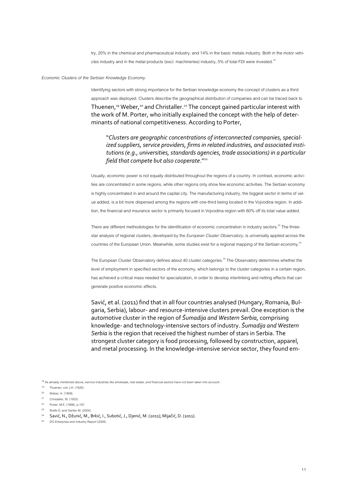try, 20% in the chemical and pharmaceutical industry, and 14% in the basic metals industry. Both in the motor vehicles industry and in the metal products (excl. machineries) industry, 5% of total FDI were invested.<sup>18</sup>

#### *Economic Clusters of the Serbian Knowledge Economy*

Identifying sectors with strong importance for the Serbian knowledge economy the concept of clusters as a third approach was deployed. Clusters describe the geographical distribution of companies and can be traced back to Thuenen, <sup>19</sup> Weber, <sup>20</sup> and Christaller. <sup>21</sup> The concept gained particular interest with the work of M. Porter, who initially explained the concept with the help of determinants of national competitiveness. According to Porter,

"*Clusters are geographic concentrations of interconnected companies, specialized suppliers, service providers, firms in related industries, and associated institutions (e.g., universities, standards agencies, trade associations) in a particular field that compete but also cooperate*." 22

Usually, economic power is not equally distributed throughout the regions of a country. In contrast, economic activities are concentrated in some regions, while other regions only show few economic activities. The Serbian economy is highly concentrated in and around the capital city. The manufacturing industry, the biggest sector in terms of value added, is a bit more dispersed among the regions with one-third being located in the Vojvodina region. In addition, the financial and insurance sector is primarily focused in Vojvodina region with 60% off its total value added.

There are different methodologies for the identification of economic concentration in industry sectors.<sup>23</sup> The threestar analysis of regional clusters, developed by the *European Cluster Observatory,* is universally applied across the countries of the European Union. Meanwhile, some studies exist for a regional mapping of the Serbian economy.<sup>24</sup>  $\overline{a}$ 

The European Cluster Observatory defines about 40 cluster categories.<sup>25</sup> The Observatory determines whether the level of employment in specified sectors of the economy, which belongs to the cluster categories in a certain region, has achieved a critical mass needed for specialization, in order to develop interlinking and netting effects that can generate positive economic effects.

Savić, et al. (2011) find that in all four countries analysed (Hungary, Romania, Bulgaria, Serbia), labour- and resource-intensive clusters prevail. One exception is the automotive cluster in the region of *Šumadija and Western Serbia,* comprising knowledge- and technology-intensive sectors of industry. *Šumadija and Western Serbia* is the region that received the highest number of stars in Serbia. The strongest cluster category is food processing, followed by construction, apparel, and metal processing. In the knowledge-intensive service sector, they found em-

20 Weber, A. (1909).

<sup>18</sup> As already mentioned above, service industries like wholesale, real estate, and financial sectors have not been taken into account

<sup>19</sup> Thuenen, von J.H. (1826).

<sup>21</sup> Christaller, W. (1933).

<sup>22</sup> Porter, M.E. (1998), p.197.

<sup>23</sup> Wolfe D. and Gertler M. (2004).

<sup>24</sup> Savić, N., Džunić, M., Brkić, I., Subotić, J., Djenić, M. (2011); Mijačić, D. (2011).

<sup>&</sup>lt;sup>25</sup> DG Enterprise and Industry Report (2008)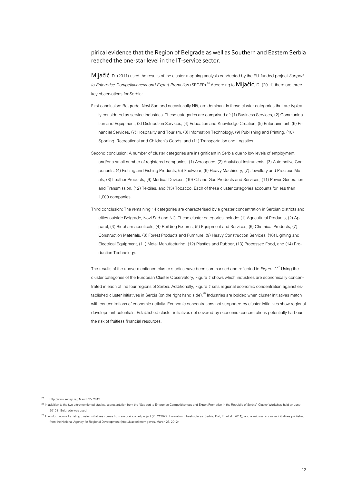## pirical evidence that the Region of Belgrade as well as Southern and Eastern Serbia reached the one-star level in the IT-service sector.

Mijačić, D. (2011) used the results of the cluster-mapping analysis conducted by the EU-funded project *Support*  to Enterprise Competitiveness and Export Promotion (SECEP).<sup>26</sup> According to **Mijačić**, D. (2011) there are three key observations for Serbia:

- First conclusion: Belgrade, Novi Sad and occasionally Niš, are dominant in those cluster categories that are typically considered as service industries. These categories are comprised of: (1) Business Services, (2) Communication and Equipment, (3) Distribution Services, (4) Education and Knowledge Creation, (5) Entertainment, (6) Financial Services, (7) Hospitality and Tourism, (8) Information Technology, (9) Publishing and Printing, (10) Sporting, Recreational and Children's Goods, and (11) Transportation and Logistics.
- Second conclusion: A number of cluster categories are insignificant in Serbia due to low levels of employment and/or a small number of registered companies: (1) Aerospace, (2) Analytical Instruments, (3) Automotive Components, (4) Fishing and Fishing Products, (5) Footwear, (6) Heavy Machinery, (7) Jewellery and Precious Metals, (8) Leather Products, (9) Medical Devices, (10) Oil and Gas Products and Services, (11) Power Generation and Transmission, (12) Textiles, and (13) Tobacco. Each of these cluster categories accounts for less than 1,000 companies.
- Third conclusion: The remaining 14 categories are characterised by a greater concentration in Serbian districts and cities outside Belgrade, Novi Sad and Niš. These cluster categories include: (1) Agricultural Products, (2) Apparel, (3) Biopharmaceuticals, (4) Building Fixtures, (5) Equipment and Services, (6) Chemical Products, (7) Construction Materials, (8) Forest Products and Furniture, (9) Heavy Construction Services, (10) Lighting and Electrical Equipment, (11) Metal Manufacturing, (12) Plastics and Rubber, (13) Processed Food, and (14) Production Technology.

The results of the above-mentioned cluster studies have been summarised and reflected in *[Figure 1](#page-13-0)*. <sup>27</sup> Using the cluster categories of the European Cluster Observatory[, Figure](#page-13-0) *1* shows which industries are economically concentrated in each of the four regions of Serbia. Additionally[, Figure](#page-13-0) *1* sets regional economic concentration against established cluster initiatives in Serbia (on the right hand side).<sup>28</sup> Industries are bolded when cluster initiatives match with concentrations of economic activity. Economic concentrations not supported by cluster initiatives show regional development potentials. Established cluster initiatives not covered by economic concentrations potentially harbour the risk of fruitless financial resources.

26 http://www.secep.rs/, March 25, 2012.

<sup>27</sup> In addition to the two aforementioned studies, a presentation from the "Support to Enterprise Competitiveness and Export Promotion in the Republic of Serbia"-Cluster Workshop held on June 2010 in Belgrade was used.

<sup>&</sup>lt;sup>28</sup> The information of existing cluster initiatives comes from a wbc-inco.net project (PL 212029: Innovation Infrastructures: Serbia; Dall, E., et al. (2011)) and a website on cluster initiatives published from the National Agency for Regional Development (http://klasteri.merr.gov.rs, March 25, 2012).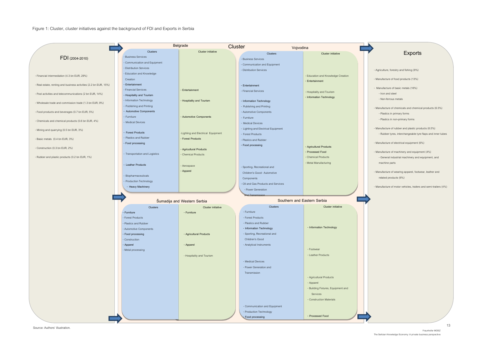Figure 1: Cluster, cluster initiatives against the background of FDI and Exports in Serbia

<span id="page-13-0"></span>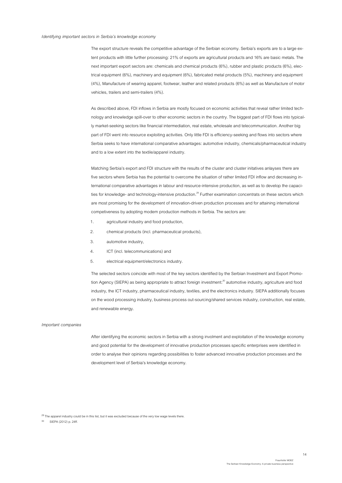#### *Identifying important sectors in Serbia's knowledge economy*

The export structure reveals the competitive advantage of the Serbian economy. Serbia's exports are to a large extent products with little further processing: 21% of exports are agricultural products and 16% are basic metals. The next important export sectors are: chemicals and chemical products (6%), rubber and plastic products (6%), electrical equipment (6%), machinery and equipment (6%), fabricated metal products (5%), machinery and equipment (4%), Manufacture of wearing apparel, footwear, leather and related products (6%) as well as Manufacture of motor vehicles, trailers and semi-trailers (4%).

As described above, FDI inflows in Serbia are mostly focused on economic activities that reveal rather limited technology and knowledge spill-over to other economic sectors in the country. The biggest part of FDI flows into typically market-seeking sectors like financial intermediation, real estate, wholesale and telecommunication. Another big part of FDI went into resource exploiting activities. Only little FDI is efficiency-seeking and flows into sectors where Serbia seeks to have international comparative advantages: automotive industry, chemicals/pharmaceutical industry and to a low extent into the textile/apparel industry.

Matching Serbia's export and FDI structure with the results of the cluster and cluster initatives anlayses there are five sectors where Serbia has the potential to overcome the situation of rather limited FDI inflow and decreasing international comparative advantages in labour and resource-intensive production, as well as to develop the capacities for knowledge- and technology-intensive production.<sup>29</sup> Further examination concentrats on these sectors which are most promising for the development of innovation-driven production processes and for attaining international competiveness by adopting modern production methods in Serbia. The sectors are:

- 1. agricultural industry and food production,
- 2. chemical products (incl. pharmaceutical products),
- 3. automotive industry,
- 4. ICT (incl. telecommunications) and
- 5. electrical equipment/electronics industry.

The selected sectors coincide with most of the key sectors identified by the Serbian Investment and Export Promotion Agency (SIEPA) as being appropriate to attract foreign investment:<sup>30</sup> automotive industry, agriculture and food industry, the ICT industry, pharmaceutical industry, textiles, and the electronics industry. SIEPA additionally focuses on the wood processing industry, business process out-sourcing/shared services industry, construction, real estate, and renewable energy.

#### *Important companies*

After identifying the economic sectors in Serbia with a strong involment and exploitation of the knowledge economy and good potential for the development of innovative production processes specific enterprises were identified in order to analyse their opinions regarding possibilities to foster advanced innovative production processes and the development level of Serbia's knowledge economy.

<sup>29</sup> The apparel industry could be in this list, but it was excluded because of the very low wage levels there.

30 SIEPA (2012) p. 24ff.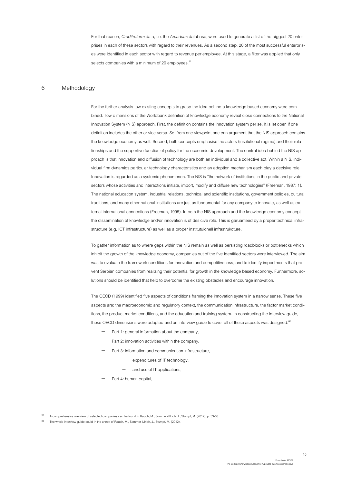For that reason, *Creditreform* data, i.e. the *Amadeus* database, were used to generate a list of the biggest 20 enterprises in each of these sectors with regard to their revenues. As a second step, 20 of the most successful enterprises were identified in each sector with regard to revenue per employee. At this stage, a filter was applied that only selects companies with a minimum of 20 employees.<sup>31</sup>

## <span id="page-15-0"></span>6 Methodology

For the further analysis tow existing concepts to grasp the idea behind a knowledge based economy were combined. Tow dimensions of the Worldbank definition of knowledge economy reveal close connections to the National Innovation System (NIS) approach. First, the definition contains the innovation system per se. It is let open if one definition includes the other or vice versa. So, from one viewpoint one can argument that the NIS approach contains the knowledge economy as well. Second, both concepts emphasise the actors (institutional regime) and their relationships and the supportive function of policy for the economic development. The central idea behind the NIS approach is that innovation and diffusion of technology are both an individual and a collective act. Within a NIS, individual firm dynamics,particular technology characteristics and an adoption mechanism each play a decisive role. Innovation is regarded as a systemic phenomenon. The NIS is "the network of institutions in the public and private sectors whose activities and interactions initiate, import, modify and diffuse new technologies" (Freeman, 1987: 1). The national education system, industrial relations, technical and scientific institutions, government policies, cultural traditions, and many other national institutions are just as fundamental for any company to innovate, as well as external international connections (Freeman, 1995). In both the NIS approach and the knowledge economy concept the dissemination of knowledge and/or innovation is of desicive role. This is garuanteed by a proper technical infrastructure (e.g. ICT infrastructure) as well as a proper institutuionell infrastrukcture.

To gather information as to where gaps within the NIS remain as well as persisting roadblocks or bottlenecks which inhibit the growth of the knowledge economy, companies out of the five identified sectors were interviewed. The aim was to evaluate the framework conditions for innovation and competitiveness, and to identify impediments that prevent Serbian companies from realizing their potential for growth in the knowledge based economy. Furthermore, solutions should be identified that help to overcome the existing obstacles and encourage innovation.

The OECD (1999) identified five aspects of conditions framing the innovation system in a narrow sense. These five aspects are: the macroeconomic and regulatory context, the communication infrastructure, the factor market conditions, the product market conditions, and the education and training system. In constructing the interview guide, those OECD dimensions were adapted and an interview guide to cover all of these aspects was designed:<sup>32</sup>

- Part 1: general information about the company,
- Part 2: innovation activities within the company,
- Part 3: information and communication infrastructure,
	- expenditures of IT technology,
	- and use of IT applications,
- Part 4: human capital,

<sup>31</sup> A comprehensive overview of selected companies can be found in Rauch, M., Sommer-Ulrich, J., Stumpf, M. (2012), p. 33-53.

The whole interview guide could in the annex of Rauch, M., Sommer-Ulrich, J., Stumpf, M. (2012).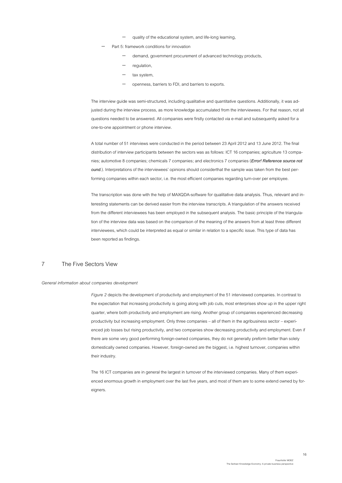- quality of the educational system, and life-long learning,
- Part 5: framework conditions for innovation
	- demand, government procurement of advanced technology products,
	- regulation,
	- tax system,
	- openness, barriers to FDI, and barriers to exports.

The interview guide was semi-structured, including qualitative and quantitative questions. Additionally, it was adjusted during the interview process, as more knowledge accumulated from the interviewees. For that reason, not all questions needed to be answered. All companies were firstly contacted via e-mail and subsequently asked for a one-to-one appointment or phone interview.

A total number of 51 interviews were conducted in the period between 23 April 2012 and 13 June 2012. The final distribution of interview participants between the sectors was as follows: ICT 16 companies; agriculture 13 companies; automotive 8 companies; chemicals 7 companies; and electronics 7 companies (*Error! Reference source not ound.*). Interpretations of the interviewees' opinions should considerthat the sample was taken from the best performing companies within each sector, i.e. the most efficient companies regarding turn-over per employee.

The transcription was done with the help of MAXQDA-software for qualitative data analysis. Thus, relevant and interesting statements can be derived easier from the interview transcripts. A triangulation of the answers received from the different interviewees has been employed in the subsequent analysis. The basic principle of the triangulation of the interview data was based on the comparison of the meaning of the answers from at least three different interviewees, which could be interpreted as equal or similar in relation to a specific issue. This type of data has been reported as findings.

## <span id="page-16-0"></span>7 The Five Sectors View

#### *General information about companies development*

*Figure 2* depicts the development of productivity and employment of the 51 interviewed companies. In contrast to the expectation that increasing productivity is going along with job cuts, most enterprises show up in the upper right quarter, where both productivity and employment are rising. Another group of companies experienced decreasing productivity but increasing employment. Only three companies – all of them in the agribusiness sector – experienced job losses but rising productivity, and two companies show decreasing productivity and employment. Even if there are some very good performing foreign-owned companies, they do not generally preform better than solely domestically owned companies. However, foreign-owned are the biggest, i.e. highest turnover, companies within their industry.

The 16 ICT companies are in general the largest in turnover of the interviewed companies. Many of them experienced enormous growth in employment over the last five years, and most of them are to some extend owned by foreigners.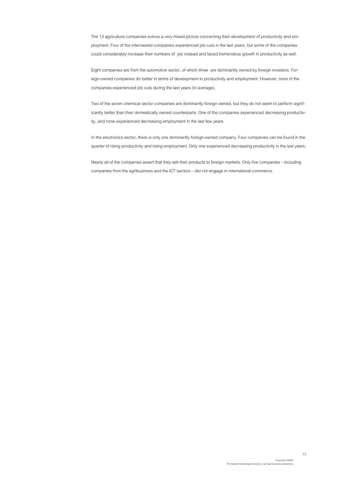The 13 agriculture companies evince a very mixed picture concerning their development of productivity and employment. Four of the interviewed companies experienced job cuts in the last years, but some of the companies could considerably increase their numbers of job instead and faced tremendous growth in productivity as well.

Eight companies are from the automotive sector, of which three are dominantly owned by foreign investors. Foreign-owned companies do better in terms of development in productivity and employment. However, none of the companies experienced job cuts during the last years (in average).

Two of the seven chemical sector companies are dominantly foreign owned, but they do not seem to perform significantly better than their domestically owned counterparts. One of the companies experienced decreasing productivity, and none experienced decreasing employment in the last few years.

In the electronics sector, there is only one dominantly foreign-owned company. Four companies can be found in the quarter of rising productivity and rising employment. Only one experienced decreasing productivity in the last years.

Nearly all of the companies assert that they sell their products to foreign markets. Only five companies – including companies from the agribusiness and the ICT sectors – did not engage in international commerce.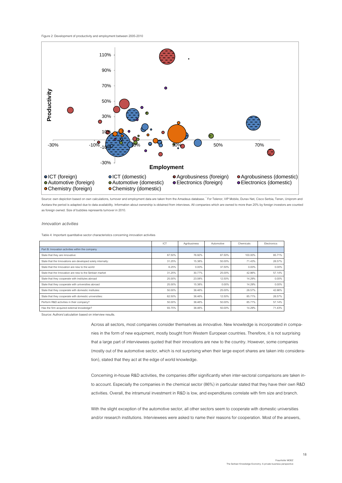#### <span id="page-18-1"></span>Figure 2: Development of productivity and employment between 2005-2010



Source: own depiction based on own calculations, turnover and employment data are taken from the Amadeus database. \* For Telenor, VIP Mobile, Dunav Net, Cisco Serbia, Tenen, Uniprom and Azotara the period is adapted due to data availability. Information about ownership is obtained from interviews. All companies which are owned to more than 20% by foreign investors are counted as foreign owned. Size of bubbles represents turnover in 2010.

#### *Innovation activities*

<span id="page-18-0"></span>Table 4: Important quantitative sector characteristics concerning innovation activities

|                                                             | ICT    | Agribusiness | Automotive | Chemicals | <b>Flectronics</b> |
|-------------------------------------------------------------|--------|--------------|------------|-----------|--------------------|
| Part B: Innovation activities within the company            |        |              |            |           |                    |
| State that they are innovative:                             | 87.50% | 76.92%       | 87.50%     | 100.00%   | 85.71%             |
| State that the Innovations are developed solely internally: | 31.25% | 15.38%       | 50.00%     | 71.43%    | 28.57%             |
| State that the Innovation are new to the world              | 6.25%  | 0.00%        | 37.50%     | 0.00%     | $0.00\%$           |
| State that the Innovation are new to the Serbian market     | 31.25% | 30.77%       | 25.00%     | 42.86%    | 57.14%             |
| State that they cooperate with institutes abroad            | 25.00% | 23.08%       | 12.50%     | 14.29%    | $0.00\%$           |
| State that they cooperate with universities abroad          | 25.00% | 15.38%       | 0.00%      | 14.29%    | $0.00\%$           |
| State that they cooperate with domestic institutes:         | 50.00% | 38.46%       | 25.00%     | 28.57%    | 42.86%             |
| State that they cooperate with domestic universities:       | 62.50% | 38.46%       | 12.50%     | 85.71%    | 28.57%             |
| Perform R&D activities in their company?                    | 50.00% | 38.46%       | 50.00%     | 85.71%    | 57.14%             |
| Has the firm acquired external knowledge?                   | 93.75% | 38.46%       | 50.00%     | 14.29%    | 71.43%             |

Source: Authors'calculation based on interview results.

Across all sectors, most companies consider themselves as innovative. New knowledge is incorporated in companies in the form of new equipment, mostly bought from Western European countries. Therefore, it is not surprising that a large part of interviewees quoted that their innovations are new to the country. However, some companies (mostly out of the automotive sector, which is not surprising when their large export shares are taken into consideration), stated that they act at the edge of world knowledge.

Concerning in-house R&D activities, the companies differ significantly when inter-sectoral comparisons are taken into account. Especially the companies in the chemical sector (86%) in particular stated that they have their own R&D activities. Overall, the intramural investment in R&D is low, and expenditures correlate with firm size and branch.

With the slight exception of the automotive sector, all other sectors seem to cooperate with domestic universities and/or research institutions. Interviewees were asked to name their reasons for cooperation. Most of the answers,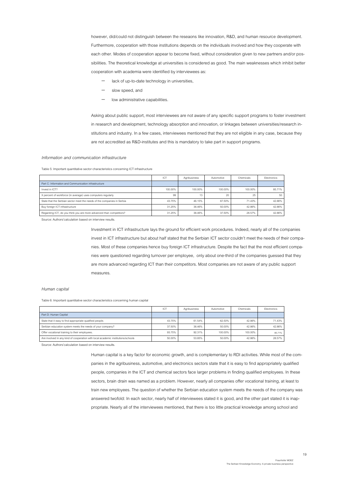however, did/could not distinguish between the reseaons like innovation, R&D, and human resource development. Furthermore, cooperation with those institutions depends on the individuals involved and how they cooperate with each other. Modes of cooperation appear to become fixed, without consideration given to new partners and/or possibilities. The theoretical knowledge at universities is considered as good. The main weaknesses which inhibit better cooperation with academia were identified by interviewees as:

- lack of up-to-date technology in universities,
- slow speed, and
- low administrative capabilities.

Asking about public support, most interviewees are not aware of any specific support programs to foster investment in research and development, technology absorption and innovation, or linkages between universities/research institutions and industry. In a few cases, interviewees mentioned that they are not eligible in any case, because they are not accredited as R&D-institutes and this is mandatory to take part in support programs.

#### *Information and communication infrastructure*

<span id="page-19-0"></span>Table 5: Important quantitative sector characteristics concerning ICT infrastructure

|                                                                         | ICT     | Agribusiness | Automotive | Chemicals | Electronics |
|-------------------------------------------------------------------------|---------|--------------|------------|-----------|-------------|
| Part C: Information and Communication infrastructure                    |         |              |            |           |             |
| Invest in ICT?                                                          | 100.00% | 100.00%      | 100.00%    | 100.00%   | 85.71%      |
| X percent of workforce (in average) uses computers regularly            | 99      | 13           | 20         | 25        | 50          |
| State that the Serbian sector meet the needs of the companies in Serbia | 43.75%  | 46.15%       | 87.50%     | 71.43%    | 42.86%      |
| Buy foreign ICT infrastructure                                          | 31.25%  | 38.46%       | 50.00%     | 42.86%    | 42.86%      |
| Regarding ICT, do you think you are more advanced than competitors?     | 31.25%  | 38.46%       | 37.50%     | 28.57%    | 42.86%      |

Source: Authors'calculation based on interview results.

Investment in ICT infrastructure lays the ground for efficient work procedures. Indeed, nearly all of the companies invest in ICT infrastructure but about half stated that the Serbian ICT sector couldn't meet the needs of their companies. Most of these companies hence buy foreign ICT infrastructure. Despite the fact that the most efficient companies were questioned regarding turnover per employee, only about one-third of the companies guessed that they are more advanced regarding ICT than their competitors. Most companies are not aware of any public support measures.

#### *Human capital*

<span id="page-19-1"></span>Table 6: Important quantitative sector characteristics concerning human capital

|                                                                                  | ICT    | Agribusiness | Automotive | Chemicals | <b>Flectronics</b> |
|----------------------------------------------------------------------------------|--------|--------------|------------|-----------|--------------------|
| Part D: Human Capital                                                            |        |              |            |           |                    |
| State that it easy to find appropriate qualified people.                         | 43.75% | 61.54%       | 62.50%     | 42.86%    | 71.43%             |
| Serbian education system meets the needs of your company?                        | 37.50% | 38.46%       | 50.00%     | 42.86%    | 42.86%             |
| Offer vocational training to their employees.                                    | 93.75% | 92.31%       | 100.00%    | 100.00%   | 85.71%             |
| Are involved in any kind of cooperation with local academic institutions/schools | 50.00% | 53.85%       | 50.00%     | 42.86%    | 28.57%             |

Source: Authors'calculation based on interview results.

Human capital is a key factor for economic growth, and is complementary to RDI activities. While most of the companies in the agribusiness, automotive, and electronics sectors state that it is easy to find appropriately qualified people, companies in the ICT and chemical sectors face larger problems in finding qualified employees. In these sectors, brain drain was named as a problem. However, nearly all companies offer vocational training, at least to train new employees. The question of whether the Serbian education system meets the needs of the company was answered twofold: In each sector, nearly half of interviewees stated it is good, and the other part stated it is inappropriate. Nearly all of the interviewees mentioned, that there is too little practical knowledge among school and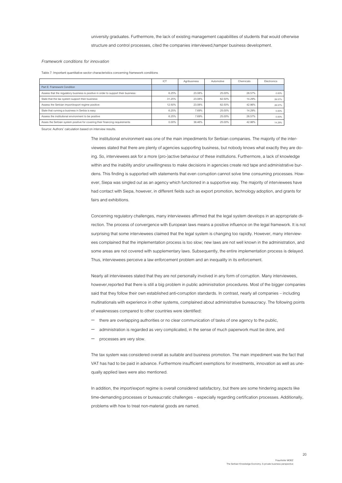#### *Framework conditions for innovation*

<span id="page-20-0"></span>Table 7: Important quantitative sector characteristics concerning framework conditions

|                                                                                     | ICT      | Agribusiness | Automotive | Chemicals | Electronics |
|-------------------------------------------------------------------------------------|----------|--------------|------------|-----------|-------------|
| Part E: Framework Condition                                                         |          |              |            |           |             |
| Assess that the regulatory business is positive in order to support their business: | 6.25%    | 23.08%       | 25.00%     | 28.57%    | 0.00%       |
| State that the tax system support their business:                                   | 31.25%   | 23.08%       | 62.50%     | 14.29%    | 28.57%      |
| Assess the Serbian import/export regime positive:                                   | 12.50%   | 23.08%       | 62.50%     | 42.86%    | 28.57%      |
| State that running a business in Serbia is easy                                     | 6.25%    | 7.69%        | 25.00%     | 14.29%    | 0.00%       |
| Assess the institutional environment to be positive                                 | 6.25%    | 7.69%        | 25.00%     | 28.57%    | 0.00%       |
| Asses the Serbian system positive for covering their financing requirements         | $0.00\%$ | 38.46%       | 25.00%     | 42.86%    | 14.29%      |

Source: Authors' calculation based on interview results.

The institutional environment was one of the main impediments for Serbian companies. The majority of the interviewees stated that there are plenty of agencies supporting business, but nobody knows what exactly they are doing. So, interviewees ask for a more (pro-)active behaviour of these institutions. Furthermore, a lack of knowledge within and the inability and/or unwillingness to make decisions in agencies create red tape and administrative burdens. This finding is supported with statements that even corruption cannot solve time consuming processes. However, Siepa was singled out as an agency which functioned in a supportive way. The majority of interviewees have had contact with Siepa, however, in different fields such as export promotion, technology adoption, and grants for fairs and exhibitions.

Concerning regulatory challenges, many interviewees affirmed that the legal system develops in an appropriate direction. The process of convergence with European laws means a positive influence on the legal framework. It is not surprising that some interviewees claimed that the legal system is changing too rapidly. However, many interviewees complained that the implementation process is too slow; new laws are not well known in the administration, and some areas are not covered with supplementary laws. Subsequently, the entire implementation process is delayed. Thus, interviewees perceive a law enforcement problem and an inequality in its enforcement.

Nearly all interviewees stated that they are not personally involved in any form of corruption. Many interviewees, however,reported that there is still a big problem in public administration procedures. Most of the bigger companies said that they follow their own established anti-corruption standards. In contrast, nearly all companies – including multinationals with experience in other systems, complained about administrative bureaucracy. The following points of weaknesses compared to other countries were identified:

- there are overlapping authorities or no clear communication of tasks of one agency to the public,
- administration is regarded as very complicated, in the sense of much paperwork must be done, and
- processes are very slow.

The tax system was considered overall as suitable and business promotion. The main impediment was the fact that VAT has had to be paid in advance. Furthermore insufficient exemptions for investments, innovation as well as unequally applied laws were also mentioned.

In addition, the import/export regime is overall considered satisfactory, but there are some hindering aspects like time-demanding processes or bureaucratic challenges – especially regarding certification processes. Additionally, problems with how to treat non-material goods are named.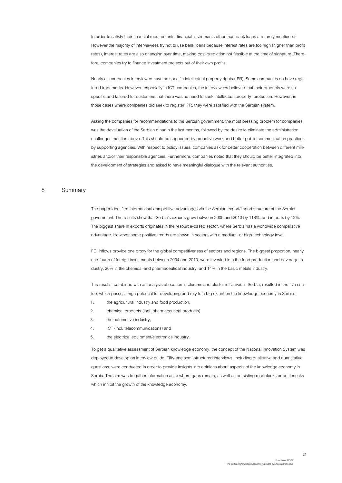In order to satisfy their financial requirements, financial instruments other than bank loans are rarely mentioned. However the majority of interviewees try not to use bank loans because interest rates are too high (higher than profit rates), interest rates are also changing over time, making cost prediction not feasible at the time of signature. Therefore, companies try to finance investment projects out of their own profits.

Nearly all companies interviewed have no specific intellectual property rights (IPR). Some companies do have registered trademarks. However, especially in ICT companies, the interviewees believed that their products were so specific and tailored for customers that there was no need to seek intellectual property protection. However, in those cases where companies did seek to register IPR, they were satisfied with the Serbian system.

Asking the companies for recommendations to the Serbian government, the most pressing problem for companies was the devaluation of the Serbian dinar in the last months, followed by the desire to eliminate the administration challenges mention above. This should be supported by proactive work and better public communication practices by supporting agencies. With respect to policy issues, companies ask for better cooperation between different ministries and/or their responsible agencies. Furthermore, companies noted that they should be better integrated into the development of strategies and asked to have meaningful dialogue with the relevant authorities.

## <span id="page-21-0"></span>8 Summary

The paper identified international competitive advantages via the Serbian export/import structure of the Serbian government. The results show that Serbia's exports grew between 2005 and 2010 by 118%, and imports by 13%. The biggest share in exports originates in the resource-based sector, where Serbia has a worldwide comparative advantage. However some positive trends are shown in sectors with a medium- or high-technology level.

FDI inflows provide one proxy for the global competitiveness of sectors and regions. The biggest proportion, nearly one-fourth of foreign investments between 2004 and 2010, were invested into the food production and beverage industry, 20% in the chemical and pharmaceutical industry, and 14% in the basic metals industry.

The results, combined with an analysis of economic clusters and cluster initiatives in Serbia, resulted in the five sectors which possess high potential for developing and rely to a big extent on the knowledge economy in Serbia:

- 1. the agricultural industry and food production,
- 2. chemical products (incl. pharmaceutical products),
- 3. the automotive industry,
- 4. ICT (incl. telecommunications) and
- 5. the electrical equipment/electronics industry.

To get a qualitative assessment of Serbian knowledge economy, the concept of the National Innovation System was deployed to develop an interview guide. Fifty-one semi-structured interviews, including qualitative and quantitative questions, were conducted in order to provide insights into opinions about aspects of the knowledge economy in Serbia. The aim was to gather information as to where gaps remain, as well as persisting roadblocks or bottlenecks which inhibit the growth of the knowledge economy.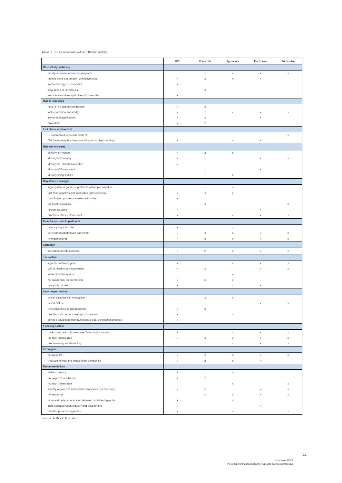<span id="page-22-0"></span>Table 8: Topics of interest within different sectors

|                                                                 | ICT                       | Chemicals                 | Agriculture               | Electronics               | Automotive                |
|-----------------------------------------------------------------|---------------------------|---------------------------|---------------------------|---------------------------|---------------------------|
| R&D activity/ networks                                          |                           |                           |                           |                           |                           |
| mostly not aware of support programs                            |                           | X                         | $\mathsf X$               | $\mathsf X$               | $\boldsymbol{\mathsf{x}}$ |
| there is some cooperation with universities                     | X                         | X                         | X                         | X                         |                           |
| low technology of universities                                  | $\times$                  |                           |                           |                           |                           |
| slow speed of universities                                      |                           | X                         |                           |                           |                           |
| low administrative capabilities of universities                 | $\mathsf X$               | X                         |                           |                           |                           |
| Human resources                                                 |                           |                           |                           |                           |                           |
| hard to find appropriate people                                 | $\mathsf X$               | X                         |                           |                           |                           |
| lack of practical knowledge                                     | $\times$                  | X                         | X                         | X                         | X                         |
|                                                                 |                           |                           |                           |                           |                           |
| low level of qualification<br>brain drain                       | $\mathsf X$               | X                         |                           | X                         |                           |
|                                                                 | $\times$                  | X                         |                           |                           |                           |
| Institutional environment                                       |                           |                           |                           |                           |                           |
| is perceived to be non-existent                                 |                           |                           |                           |                           | X                         |
| "We have plenty but they do nothing and/or help nothing"        | $\boldsymbol{\mathsf{X}}$ |                           | $\mathsf X$               | $\boldsymbol{\times}$     |                           |
| <b>Relevant Ministries</b>                                      |                           |                           |                           |                           |                           |
| Ministry of Finance                                             | $\mathsf X$               | X                         | $\boldsymbol{\times}$     |                           |                           |
| Ministry of Economy                                             | $\times$                  | X                         |                           | $\times$                  | X                         |
| Ministry of Telecommunication                                   | X                         |                           |                           |                           |                           |
| Ministry of Environment                                         |                           | X                         |                           | $\mathsf X$               |                           |
| Ministry of Agriculture                                         |                           |                           | X                         |                           |                           |
| Regulatory challenges                                           |                           |                           |                           |                           |                           |
| legal system is good but problems with implementation           |                           | X                         | $\boldsymbol{\times}$     |                           |                           |
| fast changing laws, not applicable, grey economy                | $\times$                  | X                         | $\boldsymbol{\mathsf{x}}$ |                           |                           |
| coordination problem between authorities                        | X                         |                           |                           |                           |                           |
| too much regulatory                                             |                           | X                         |                           |                           | $\times$                  |
| foreign solutions                                               | $\times$                  |                           |                           | $\mathsf X$               |                           |
| problems of law enforcement                                     | $\times$                  |                           | $\times$                  | $\mathsf X$               | X                         |
| Main Bureaucratic Impediments                                   |                           |                           |                           |                           |                           |
|                                                                 |                           |                           |                           |                           |                           |
| overlapping authorities                                         | X                         |                           | x                         |                           |                           |
| very complicated/ much paperwork                                | $\mathsf X$               | X                         | $\mathsf X$               | X                         | X                         |
| time demanding                                                  | $\mathsf X$               | $\boldsymbol{\mathsf{x}}$ | $\mathsf X$               | $\mathsf X$               | X                         |
| Corruption                                                      |                           |                           |                           |                           |                           |
| corruption affects business                                     | $\times$                  | $\chi/$                   | $\boldsymbol{\times}$     | $\boldsymbol{\mathsf{x}}$ | $\boldsymbol{\times}$     |
| Tax system                                                      |                           |                           |                           |                           |                           |
| legal tax system is good                                        | $\mathsf X$               |                           | $\mathsf X$               | $\mathsf X$               | $\times$                  |
| VAT is need to pay in advance                                   | X                         | X                         |                           | $\mathsf X$               | x                         |
| incomplete tax system                                           |                           |                           | X                         |                           |                           |
| not supportive/ no exemptions                                   | X                         | $\boldsymbol{\mathsf{x}}$ | $\mathsf X$               |                           |                           |
| unequally handled                                               | $\boldsymbol{\mathsf{x}}$ |                           | $\mathsf X$               | x                         |                           |
| Import/export regime                                            |                           |                           |                           |                           |                           |
| overall satisfied with the system                               |                           | $\boldsymbol{\mathsf{x}}$ | $\boldsymbol{\times}$     |                           |                           |
| mixed picture                                                   |                           |                           |                           | X                         | X                         |
| time consuming to get approvals                                 | X                         | $\mathsf X$               |                           |                           |                           |
| problems with imports (except of materials)                     |                           |                           |                           |                           |                           |
| certified equipment from EU needs a local certification process |                           |                           |                           |                           |                           |
|                                                                 | X                         |                           |                           |                           |                           |
| Financing system                                                |                           |                           |                           |                           |                           |
| banks loans are only mentioned financing instrument             | $\mathsf X$               |                           | $\mathsf X$               | $\mathsf X$               | x                         |
| too high interest rate                                          | $\mathsf X$               | $\boldsymbol{\mathsf{x}}$ | $\boldsymbol{\times}$     | $\boldsymbol{\mathsf{x}}$ | X                         |
| predominantly self-financing                                    |                           |                           | $\mathsf X$               | x                         | x                         |
| IPR regime                                                      |                           |                           |                           |                           |                           |
| no use of IPR                                                   | $\mathsf X$               | X                         | $\mathsf X$               | $\mathsf X$               | $\boldsymbol{\mathsf{x}}$ |
| IPR system meet the needs of the companies                      | $\mathsf X$               | X                         | $\boldsymbol{\times}$     | $\mathsf X$               |                           |
| Recommendations                                                 |                           |                           |                           |                           |                           |
| stable currency                                                 | $\mathsf X$               | $\boldsymbol{\mathsf{x}}$ | $\mathsf X$               |                           |                           |
| tax payment in advance                                          | X                         | X                         |                           |                           |                           |
| too high interest rate                                          |                           |                           | $\mathsf X$               |                           |                           |
| simplify regulations and shorten processes (bureaucracy)        | X                         | X                         |                           | X                         | x                         |
| Infrastructure                                                  |                           | X                         | $\mathsf X$               | X                         | х                         |
| more and better cooperation between ministries/agencies         | X                         |                           | X                         |                           |                           |
| start dialog between industry and government                    | X                         |                           |                           | $\mathsf X$               |                           |
| need for proactive agencies                                     | X                         |                           | X                         |                           | x                         |
|                                                                 |                           |                           |                           |                           |                           |

Source: Authors' illustration.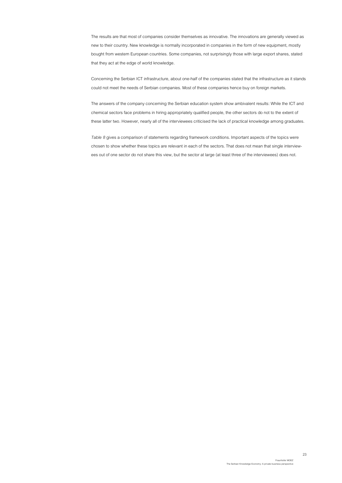The results are that most of companies consider themselves as innovative. The innovations are generally viewed as new to their country. New knowledge is normally incorporated in companies in the form of new equipment, mostly bought from western European countries. Some companies, not surprisingly those with large export shares, stated that they act at the edge of world knowledge.

Concerning the Serbian ICT infrastructure, about one-half of the companies stated that the infrastructure as it stands could not meet the needs of Serbian companies. Most of these companies hence buy on foreign markets.

The answers of the company concerning the Serbian education system show ambivalent results: While the ICT and chemical sectors face problems in hiring appropriately qualified people, the other sectors do not to the extent of these latter two. However, nearly all of the interviewees criticised the lack of practical knowledge among graduates.

*Table 8* gives a comparison of statements regarding framework conditions. Important aspects of the topics were chosen to show whether these topics are relevant in each of the sectors. That does not mean that single interviewees out of one sector do not share this view, but the sector at large (at least three of the interviewees) does not.

23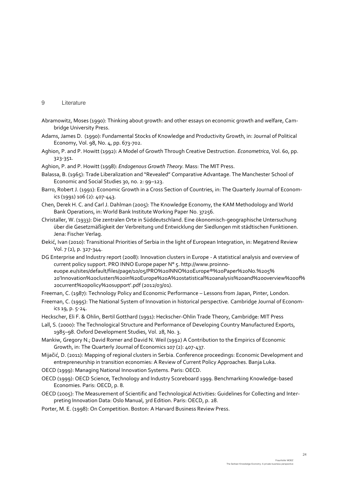#### <span id="page-24-0"></span>9 Literature

- Abramowitz, Moses (1990): Thinking about growth: and other essays on economic growth and welfare, Cambridge University Press.
- Adams, James D. (1990): Fundamental Stocks of Knowledge and Productivity Growth, in: Journal of Political Economy, Vol. 98, No. 4, pp. 673-702.
- Aghion, P. and P. Howitt (1992): A Model of Growth Through Creative Destruction. *Econometrica*, Vol. 60, pp. 323-351.
- Aghion, P. and P. Howitt (1998): *Endogenous Growth Theory.* Mass: The MIT Press.
- Balassa, B. (1965): Trade Liberalization and "Revealed" Comparative Advantage. The Manchester School of Economic and Social Studies 30, no. 2: 99–123.
- Barro, Robert J. (1991): Economic Growth in a Cross Section of Countries, in: The Quarterly Journal of Economics (1991) 106 (2): 407-443.
- Chen, Derek H. C. and Carl J. Dahlman (2005): The Knowledge Economy, the KAM Methodology and World Bank Operations, in: World Bank Institute Working Paper No. 37256.
- Christaller, W. (1933): Die zentralen Orte in Süddeutschland. Eine ökonomisch-geographische Untersuchung über die Gesetzmäßigkeit der Verbreitung und Entwicklung der Siedlungen mit städtischen Funktionen. Jena: Fischer Verlag.
- Đekić, Ivan (2010): Transitional Priorities of Serbia in the light of European Integration, in: Megatrend Review Vol. 7 (2), p. 327-344.
- DG Enterprise and Industry report (2008): Innovation clusters in Europe A statistical analysis and overview of current policy support. PRO INNO Europe paper N° 5. http://www.proinnoeuope.eu/sites/default/files/page/10/05/PRO%20INNO%20Europe®%20Paper%20No.%205% 20'Innovation%20clusters%20in%20Europe%20A%20statistical%20analysis%20and%20overview%20of% 20current%20policy%20support'.pdf (2012/03/01).
- Freeman, C. (1987): Technology Policy and Economic Performance Lessons from Japan, Pinter, London.
- Freeman, C. (1995): The National System of Innovation in historical perspective. Cambridge Journal of Economics 19, p. 5-24.
- Heckscher, Eli F. & Ohlin, Bertil Gotthard (1991): Heckscher-Ohlin Trade Theory, Cambridge: MIT Press
- Lall, S. (2000): The Technological Structure and Performance of Developing Country Manufactured Exports, 1985–98. Oxford Development Studies, Vol. 28, No. 3.
- Mankiw, Gregory N.; David Romer and David N. Weil (1992) A Contribution to the Empirics of Economic Growth, in: The Quarterly Journal of Economics 107 (2): 407-437.
- Mijačić, D. (2011): Mapping of regional clusters in Serbia. Conference proceedings: Economic Development and entrepreneurship in transition economies: A Review of Current Policy Approaches. Banja Luka.
- OECD (1999): Managing National Innovation Systems. Paris: OECD.
- OECD (1999): OECD Science, Technology and Industry Scoreboard 1999. Benchmarking Knowledge-based Economies. Paris: OECD, p. 8.
- OECD (2005): The Measurement of Scientific and Technological Activities: Guidelines for Collecting and Interpreting Innovation Data: Oslo Manual, 3rd Edition. Paris: OECD, p. 28.
- Porter, M. E. (1998): On Competition. Boston: A Harvard Business Review Press.